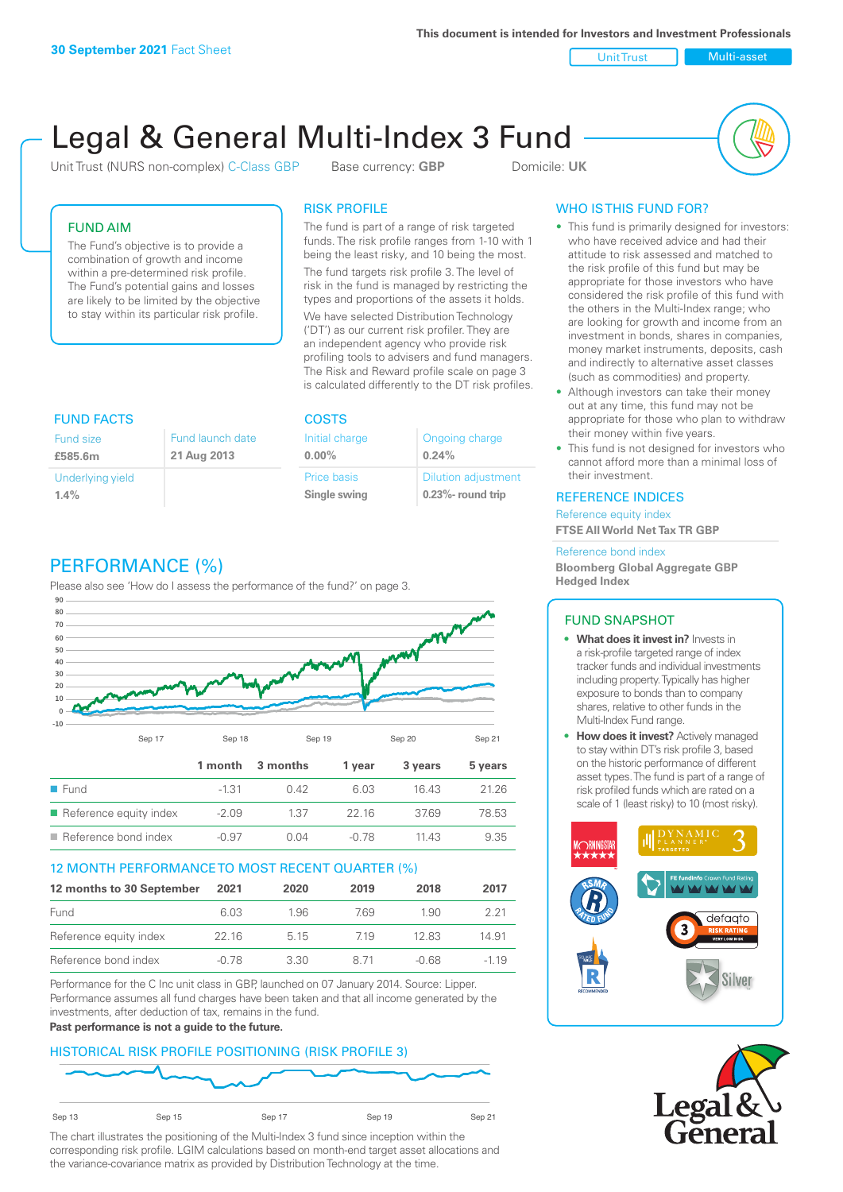**This document is intended for Investors and Investment Professionals**

Unit Trust Nulti-asset

# Legal & General Multi-Index 3 Fund

Unit Trust (NURS non-complex) C-Class GBP Base currency: **GBP** Domicile: UK



# FUND AIM

The Fund's objective is to provide a combination of growth and income within a pre-determined risk profile. The Fund's potential gains and losses are likely to be limited by the objective to stay within its particular risk profile.

## RISK PROFILE

The fund is part of a range of risk targeted funds. The risk profile ranges from 1-10 with 1 being the least risky, and 10 being the most.

The fund targets risk profile 3. The level of risk in the fund is managed by restricting the types and proportions of the assets it holds. We have selected Distribution Technology ('DT') as our current risk profiler. They are an independent agency who provide risk profiling tools to advisers and fund managers. The Risk and Reward profile scale on page 3 is calculated differently to the DT risk profiles.

| <b>FUND FACTS</b> |                  | <b>COSTS</b>   |                            |  |
|-------------------|------------------|----------------|----------------------------|--|
| <b>Fund size</b>  | Fund launch date | Initial charge | Ongoing charge             |  |
| £585.6m           | 21 Aug 2013      | $0.00\%$       | 0.24%                      |  |
| Underlying yield  |                  | Price basis    | <b>Dilution adjustment</b> |  |
| 1.4%              |                  | Single swing   | $0.23\%$ - round trip      |  |

# PERFORMANCE (%)

Please also see 'How do I assess the performance of the fund?' on page 3.



## 12 MONTH PERFORMANCE TO MOST RECENT QUARTER (%)

| 12 months to 30 September | 2021  | 2020  | 2019 | 2018  | 2017   |
|---------------------------|-------|-------|------|-------|--------|
| Fund                      | 6.03  | 1.96. | 769  | 1.90  | 221    |
| Reference equity index    | 22 16 | 5 1 5 | 719  | 12.83 | 14.91  |
| Reference bond index      | -0.78 | 3.30  | 8 71 | -0.68 | $-119$ |

Performance for the C Inc unit class in GBP, launched on 07 January 2014. Source: Lipper. Performance assumes all fund charges have been taken and that all income generated by the investments, after deduction of tax, remains in the fund.

#### **Past performance is not a guide to the future.**

## HISTORICAL RISK PROFILE POSITIONING (RISK PROFILE 3)



The chart illustrates the positioning of the Multi-Index 3 fund since inception within the corresponding risk profile. LGIM calculations based on month-end target asset allocations and the variance-covariance matrix as provided by Distribution Technology at the time.

# WHO IS THIS FUND FOR?

- This fund is primarily designed for investors: who have received advice and had their attitude to risk assessed and matched to the risk profile of this fund but may be appropriate for those investors who have considered the risk profile of this fund with the others in the Multi-Index range; who are looking for growth and income from an investment in bonds, shares in companies, money market instruments, deposits, cash and indirectly to alternative asset classes (such as commodities) and property.
- Although investors can take their money out at any time, this fund may not be appropriate for those who plan to withdraw their money within five years.
- This fund is not designed for investors who cannot afford more than a minimal loss of their investment.

## REFERENCE INDICES

Reference equity index **FTSE All World Net Tax TR GBP**

#### Reference bond index

**Bloomberg Global Aggregate GBP Hedged Index**

## FUND SNAPSHOT

- **• What does it invest in?** Invests in a risk-profile targeted range of index tracker funds and individual investments including property. Typically has higher exposure to bonds than to company shares, relative to other funds in the Multi-Index Fund range.
- **• How does it invest?** Actively managed to stay within DT's risk profile 3, based on the historic performance of different asset types. The fund is part of a range of risk profiled funds which are rated on a scale of 1 (least risky) to 10 (most risky).



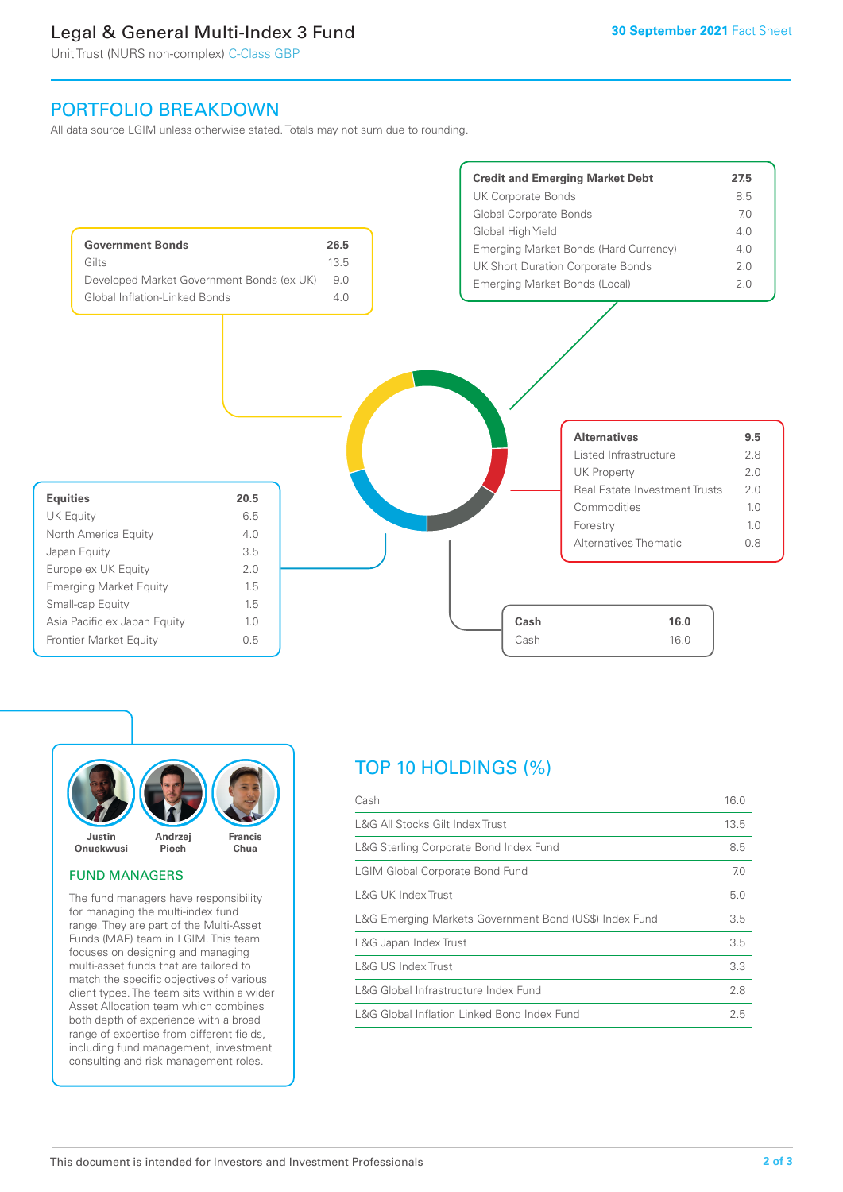# Legal & General Multi-Index 3 Fund

Unit Trust (NURS non-complex) C-Class GBP

# PORTFOLIO BREAKDOWN

All data source LGIM unless otherwise stated. Totals may not sum due to rounding.





## FUND MANAGERS

The fund managers have responsibility for managing the multi-index fund range. They are part of the Multi-Asset Funds (MAF) team in LGIM. This team focuses on designing and managing multi-asset funds that are tailored to match the specific objectives of various client types. The team sits within a wider Asset Allocation team which combines both depth of experience with a broad range of expertise from different fields, including fund management, investment consulting and risk management roles.

# TOP 10 HOLDINGS (%)

| Cash                                                   | 16.0 |
|--------------------------------------------------------|------|
| L&G All Stocks Gilt Index Trust                        | 13.5 |
| L&G Sterling Corporate Bond Index Fund                 | 8.5  |
| <b>LGIM Global Corporate Bond Fund</b>                 | 7.0  |
| L&G UK Index Trust                                     | 5.0  |
| L&G Emerging Markets Government Bond (US\$) Index Fund | 3.5  |
| L&G Japan Index Trust                                  | 3.5  |
| L&G US Index Trust                                     | 3.3  |
| L&G Global Infrastructure Index Fund                   | 2.8  |
| L&G Global Inflation Linked Bond Index Fund            |      |